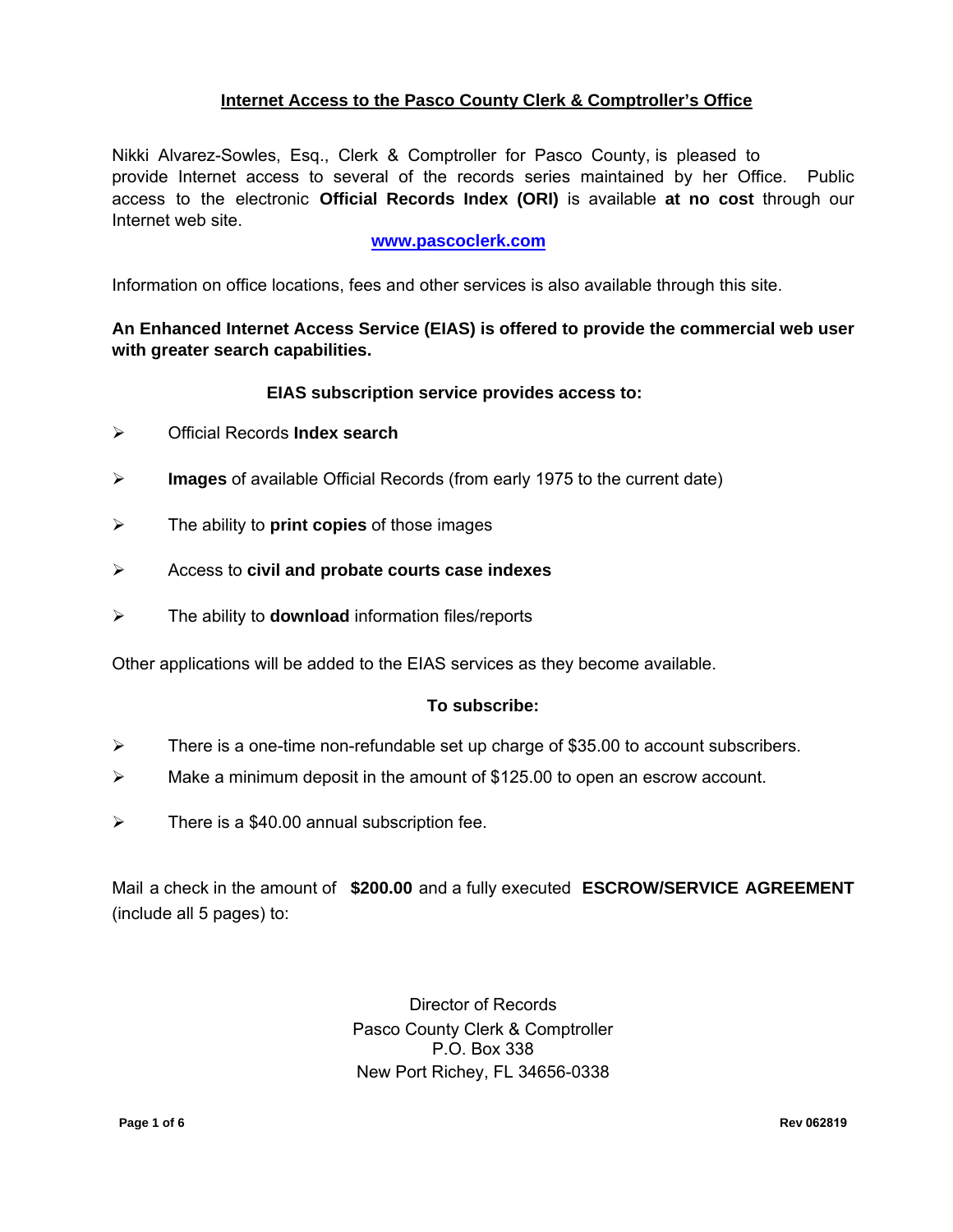## **Internet Access to the Pasco County Clerk & Comptroller's Office**

Nikki Alvarez-Sowles, Esq., Clerk & Comptroller for Pasco County, is pleased to provide Internet access to several of the records series maintained by her Office. Public access to the electronic **Official Records Index (ORI)** is available **at no cost** through our Internet web site.

#### **www.pascoclerk.com**

Information on office locations, fees and other services is also available through this site.

## **An Enhanced Internet Access Service (EIAS) is offered to provide the commercial web user with greater search capabilities.**

#### **EIAS subscription service provides access to:**

- Official Records **Index search**
- **Images** of available Official Records (from early 1975 to the current date)
- The ability to **print copies** of those images
- Access to **civil and probate courts case indexes**
- The ability to **download** information files/reports

Other applications will be added to the EIAS services as they become available.

#### **To subscribe:**

- $\triangleright$  There is a one-time non-refundable set up charge of \$35.00 to account subscribers.
- $\triangleright$  Make a minimum deposit in the amount of \$125.00 to open an escrow account.
- $\triangleright$  There is a \$40.00 annual subscription fee.

Mail a check in the amount of **\$200.00** and a fully executed **ESCROW/SERVICE AGREEMENT** (include all 5 pages) to:

> Director of Records Pasco County Clerk & Comptroller P.O. Box 338 New Port Richey, FL 34656-0338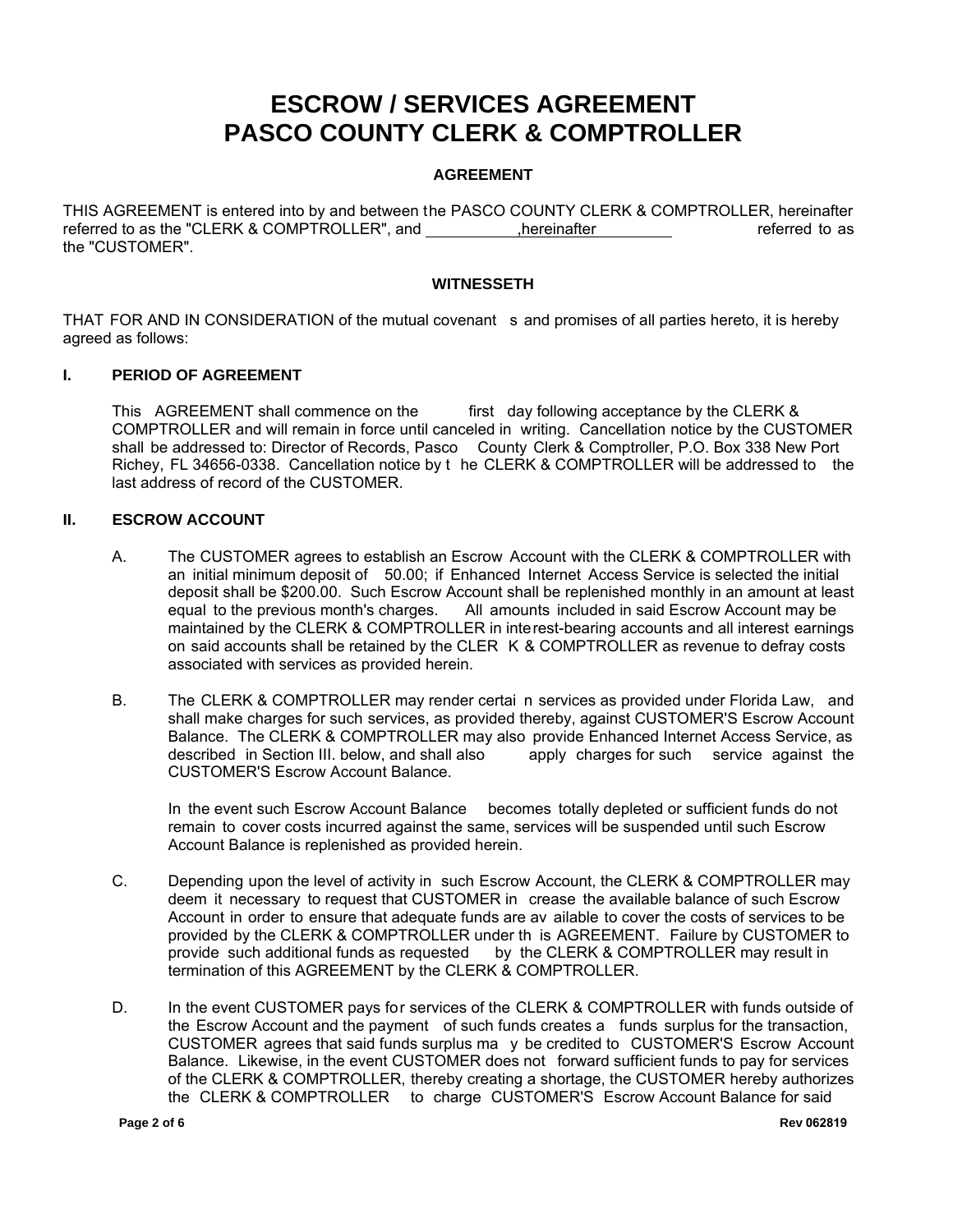# **ESCROW / SERVICES AGREEMENT PASCO COUNTY CLERK & COMPTROLLER**

#### **AGREEMENT**

THIS AGREEMENT is entered into by and between the PASCO COUNTY CLERK & COMPTROLLER, hereinafter referred to as the "CLERK & COMPTROLLER", and  $\qquad \qquad$  ,hereinafter  $\qquad \qquad$  referred to as the "CUSTOMER".

#### **WITNESSETH**

THAT FOR AND IN CONSIDERATION of the mutual covenant s and promises of all parties hereto, it is hereby agreed as follows:

#### **I. PERIOD OF AGREEMENT**

This AGREEMENT shall commence on the first day following acceptance by the CLERK & COMPTROLLER and will remain in force until canceled in writing. Cancellation notice by the CUSTOMER shall be addressed to: Director of Records, Pasco County Clerk & Comptroller, P.O. Box 338 New Port Richey, FL 34656-0338. Cancellation notice by t he CLERK & COMPTROLLER will be addressed to the last address of record of the CUSTOMER.

#### **II. ESCROW ACCOUNT**

- A. The CUSTOMER agrees to establish an Escrow Account with the CLERK & COMPTROLLER with an initial minimum deposit of 50.00; if Enhanced Internet Access Service is selected the initial deposit shall be \$200.00. Such Escrow Account shall be replenished monthly in an amount at least deast deast i<br>equal to the previous month's charges. All amounts included in said Escrow Account may be All amounts included in said Escrow Account may be maintained by the CLERK & COMPTROLLER in interest-bearing accounts and all interest earnings on said accounts shall be retained by the CLER K & COMPTROLLER as revenue to defray costs associated with services as provided herein.
- B. The CLERK & COMPTROLLER may render certai n services as provided under Florida Law, and shall make charges for such services, as provided thereby, against CUSTOMER'S Escrow Account Balance. The CLERK & COMPTROLLER may also provide Enhanced Internet Access Service, as described in Section III. below, and shall also apply charges for such service against the apply charges for such service against the CUSTOMER'S Escrow Account Balance.

In the event such Escrow Account Balance becomes totally depleted or sufficient funds do not remain to cover costs incurred against the same, services will be suspended until such Escrow Account Balance is replenished as provided herein.

- C. Depending upon the level of activity in such Escrow Account, the CLERK & COMPTROLLER may deem it necessary to request that CUSTOMER in crease the available balance of such Escrow Account in order to ensure that adequate funds are av ailable to cover the costs of services to be provided by the CLERK & COMPTROLLER under th is AGREEMENT. Failure by CUSTOMER to provide such additional funds as requested by the CLERK & COMPTROLLER may result in termination of this AGREEMENT by the CLERK & COMPTROLLER.
- D. In the event CUSTOMER pays for services of the CLERK & COMPTROLLER with funds outside of the Escrow Account and the payment of such funds creates a funds surplus for the transaction, CUSTOMER agrees that said funds surplus ma y be credited to CUSTOMER'S Escrow Account Balance. Likewise, in the event CUSTOMER does not forward sufficient funds to pay for services of the CLERK & COMPTROLLER, thereby creating a shortage, the CUSTOMER hereby authorizes the CLERK & COMPTROLLER to charge CUSTOMER'S Escrow Account Balance for said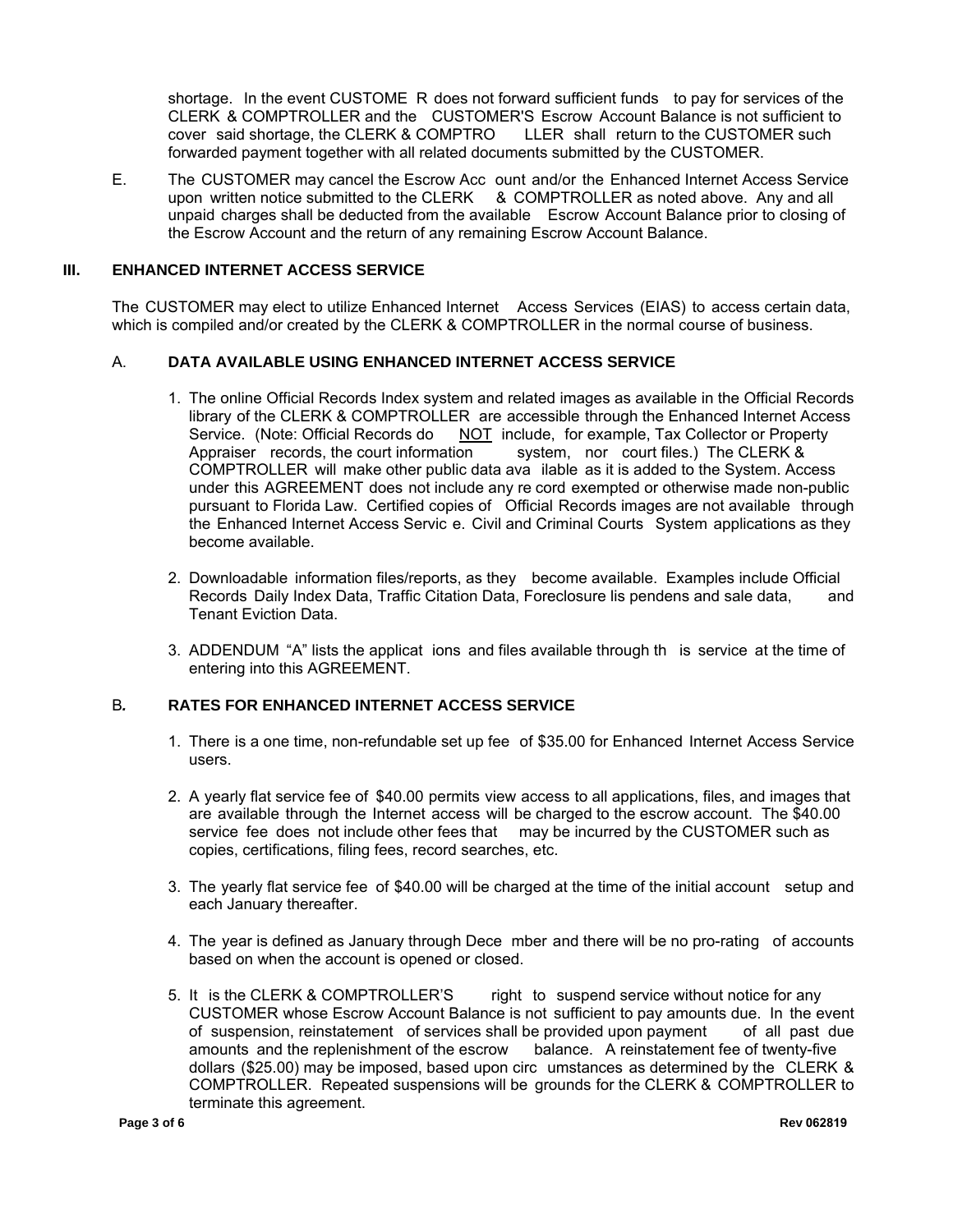shortage. In the event CUSTOME R does not forward sufficient funds to pay for services of the CLERK & COMPTROLLER and the CUSTOMER'S Escrow Account Balance is not sufficient to cover said shortage, the CLERK & COMPTRO LLER shall return to the CUSTOMER such forwarded payment together with all related documents submitted by the CUSTOMER.

E. The CUSTOMER may cancel the Escrow Acc ount and/or the Enhanced Internet Access Service upon written notice submitted to the CLERK & COMPTROLLER as noted above. Any and all unpaid charges shall be deducted from the available Escrow Account Balance prior to closing of the Escrow Account and the return of any remaining Escrow Account Balance.

#### **III. ENHANCED INTERNET ACCESS SERVICE**

The CUSTOMER may elect to utilize Enhanced Internet Access Services (EIAS) to access certain data, which is compiled and/or created by the CLERK & COMPTROLLER in the normal course of business.

#### A. **DATA AVAILABLE USING ENHANCED INTERNET ACCESS SERVICE**

- 1. The online Official Records Index system and related images as available in the Official Records library of the CLERK & COMPTROLLER are accessible through the Enhanced Internet Access Service. (Note: Official Records do **NOT** include, for example, Tax Collector or Property Appraiser records, the court information system, nor court files.) The CLERK & system, nor court files.) The CLERK & COMPTROLLER will make other public data ava ilable as it is added to the System. Access under this AGREEMENT does not include any re cord exempted or otherwise made non-public pursuant to Florida Law. Certified copies of Official Records images are not available through the Enhanced Internet Access Servic e. Civil and Criminal Courts System applications as they become available.
- 2. Downloadable information files/reports, as they become available. Examples include Official Records Daily Index Data, Traffic Citation Data, Foreclosure lis pendens and sale data, and Tenant Eviction Data.
- 3. ADDENDUM "A" lists the applicat ions and files available through th is service at the time of entering into this AGREEMENT.

#### B*.* **RATES FOR ENHANCED INTERNET ACCESS SERVICE**

- 1. There is a one time, non-refundable set up fee of \$35.00 for Enhanced Internet Access Service users.
- 2. A yearly flat service fee of \$40.00 permits view access to all applications, files, and images that are available through the Internet access will be charged to the escrow account. The \$40.00 service fee does not include other fees that may be incurred by the CUSTOMER such as copies, certifications, filing fees, record searches, etc.
- 3. The yearly flat service fee of \$40.00 will be charged at the time of the initial account setup and each January thereafter.
- 4. The year is defined as January through Dece mber and there will be no pro-rating of accounts based on when the account is opened or closed.
- 5. It is the CLERK & COMPTROLLER'S right to suspend service without notice for any CUSTOMER whose Escrow Account Balance is not sufficient to pay amounts due. In the event of suspension, reinstatement of services shall be provided upon payment of all past due amounts and the replenishment of the escrow balance. A reinstatement fee of twenty-five dollars (\$25.00) may be imposed, based upon circ umstances as determined by the CLERK & COMPTROLLER. Repeated suspensions will be grounds for the CLERK & COMPTROLLER to terminate this agreement.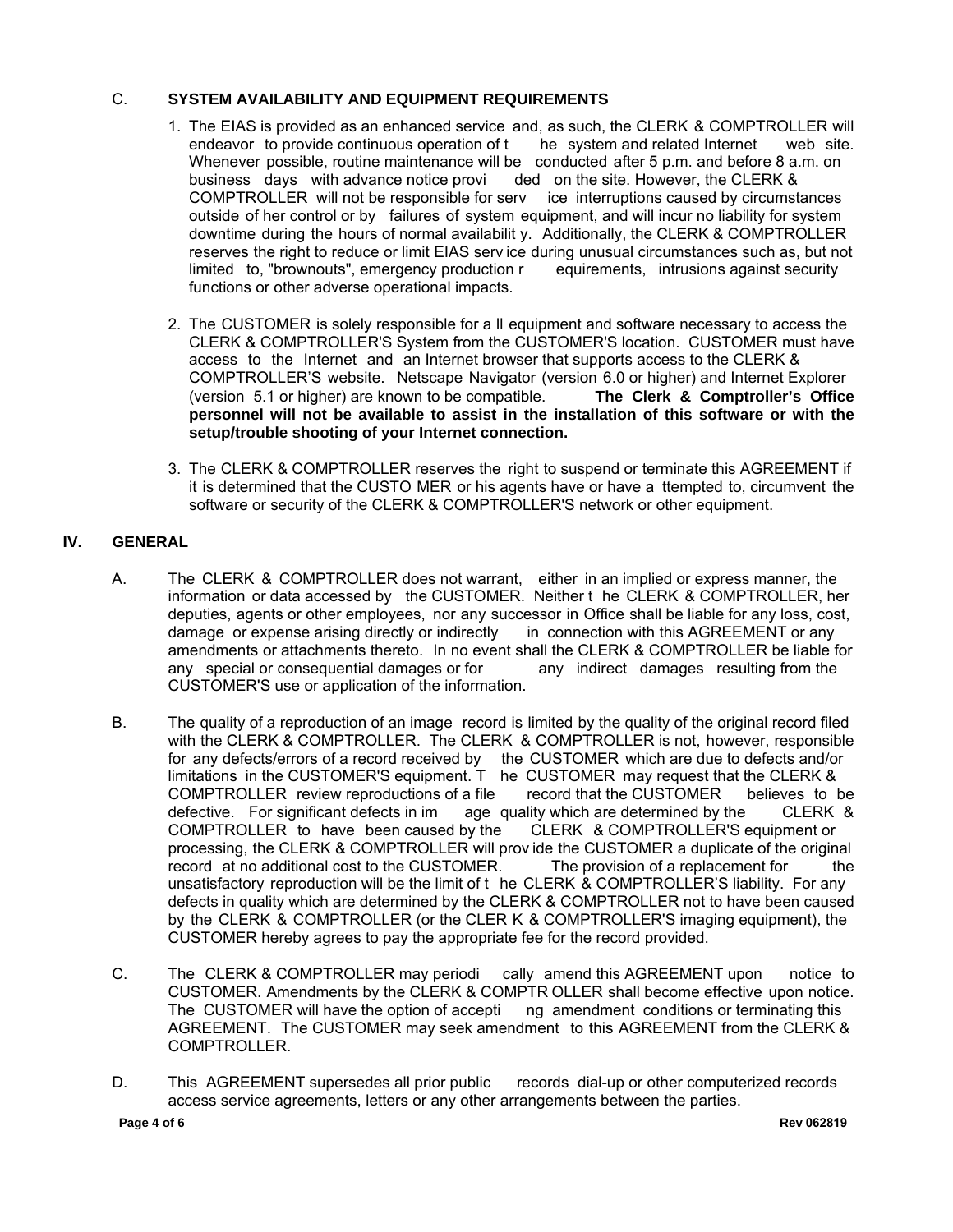#### C. **SYSTEM AVAILABILITY AND EQUIPMENT REQUIREMENTS**

- 1. The EIAS is provided as an enhanced service and, as such, the CLERK & COMPTROLLER will endeavor to provide continuous operation of t he system and related Internet web site. Whenever possible, routine maintenance will be conducted after 5 p.m. and before 8 a.m. on business days with advance notice provi ded on the site. However, the CLERK &<br>COMPTROLLER will not be responsible for serv ice interruptions caused by circumstances COMPTROLLER will not be responsible for serv outside of her control or by failures of system equipment, and will incur no liability for system downtime during the hours of normal availabilit y. Additionally, the CLERK & COMPTROLLER reserves the right to reduce or limit EIAS serv ice during unusual circumstances such as, but not limited to, "brownouts", emergency production r equirements, intrusions against security functions or other adverse operational impacts.
- 2. The CUSTOMER is solely responsible for a ll equipment and software necessary to access the CLERK & COMPTROLLER'S System from the CUSTOMER'S location. CUSTOMER must have access to the Internet and an Internet browser that supports access to the CLERK & COMPTROLLER'S website. Netscape Navigator (version 6.0 or higher) and Internet Explorer (version 5.1 or higher) are known to be compatible. **The Clerk & Comptroller's Office personnel will not be available to assist in the installation of this software or with the setup/trouble shooting of your Internet connection.**
- 3. The CLERK & COMPTROLLER reserves the right to suspend or terminate this AGREEMENT if it is determined that the CUSTO MER or his agents have or have a ttempted to, circumvent the software or security of the CLERK & COMPTROLLER'S network or other equipment.

#### **IV. GENERAL**

- A. The CLERK & COMPTROLLER does not warrant, either in an implied or express manner, the information or data accessed by the CUSTOMER. Neither t he CLERK & COMPTROLLER, her deputies, agents or other employees, nor any successor in Office shall be liable for any loss, cost, damage or expense arising directly or indirectly in connection with this AGREEMENT or any amendments or attachments thereto. In no event shall the CLERK & COMPTROLLER be liable for any special or consequential damages or for any indirect damages resulting from the any special or consequential damages or for CUSTOMER'S use or application of the information.
- B. The quality of a reproduction of an image record is limited by the quality of the original record filed with the CLERK & COMPTROLLER. The CLERK & COMPTROLLER is not, however, responsible for any defects/errors of a record received by the CUSTOMER which are due to defects and/or limitations in the CUSTOMER'S equipment. T he CUSTOMER may request that the CLERK &<br>COMPTROLLER review reproductions of a file record that the CUSTOMER believes to be COMPTROLLER review reproductions of a file defective. For significant defects in im age quality which are determined by the CLERK & COMPTROLLER to have been caused by the CLERK & COMPTROLLER'S equipment or COMPTROLLER to have been caused by the processing, the CLERK & COMPTROLLER will prov ide the CUSTOMER a duplicate of the original record at no additional cost to the CUSTOMER. The provision of a replacement for the unsatisfactory reproduction will be the limit of t he CLERK & COMPTROLLER'S liability. For any defects in quality which are determined by the CLERK & COMPTROLLER not to have been caused by the CLERK & COMPTROLLER (or the CLER K & COMPTROLLER'S imaging equipment), the CUSTOMER hereby agrees to pay the appropriate fee for the record provided.
- C. The CLERK & COMPTROLLER may periodi cally amend this AGREEMENT upon notice to CUSTOMER. Amendments by the CLERK & COMPTR OLLER shall become effective upon notice. The CUSTOMER will have the option of accepti ng amendment conditions or terminating this AGREEMENT. The CUSTOMER may seek amendment to this AGREEMENT from the CLERK & COMPTROLLER.
- D. This AGREEMENT supersedes all prior public records dial-up or other computerized records access service agreements, letters or any other arrangements between the parties.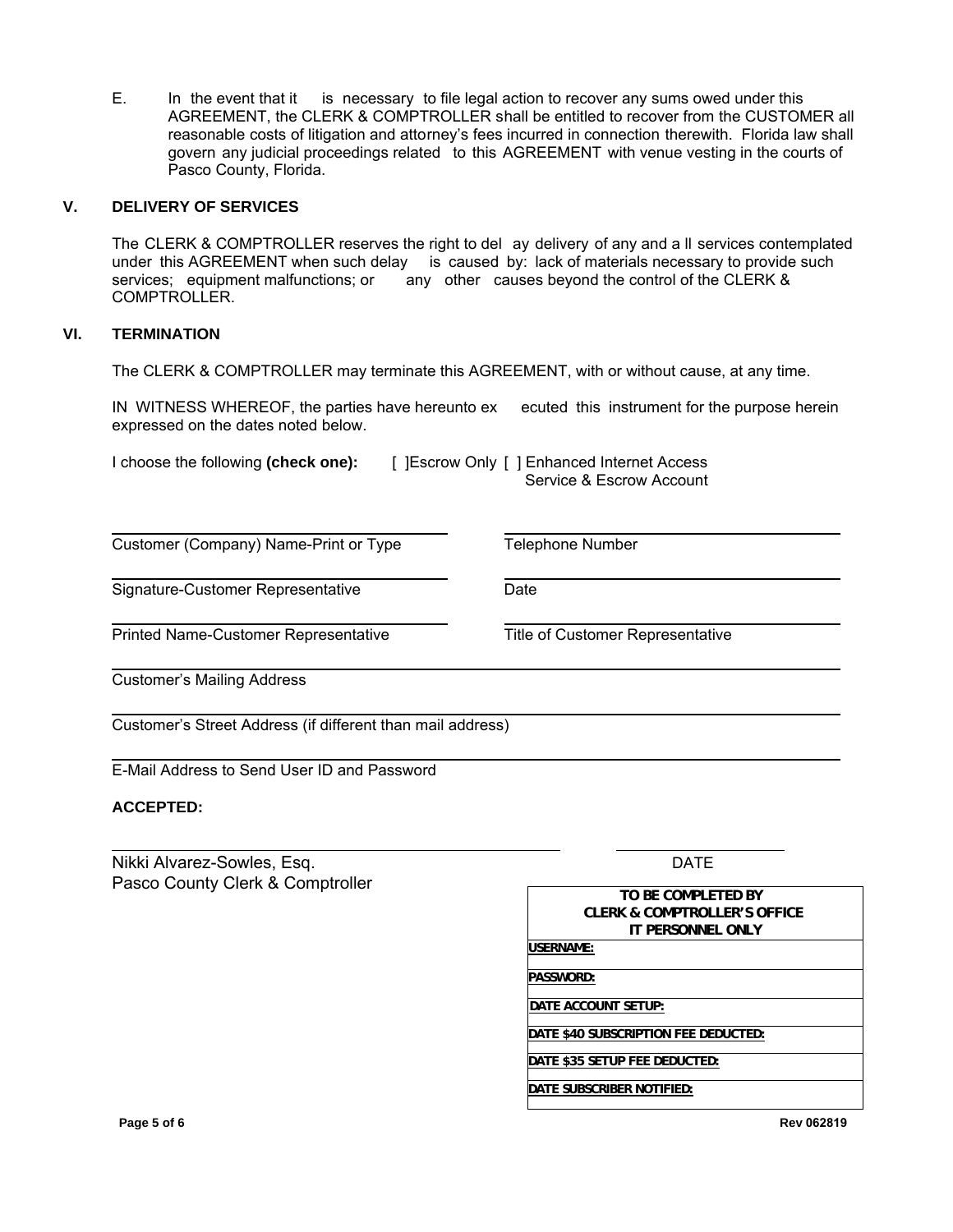E. In the event that it is necessary to file legal action to recover any sums owed under this AGREEMENT, the CLERK & COMPTROLLER shall be entitled to recover from the CUSTOMER all reasonable costs of litigation and attorney's fees incurred in connection therewith. Florida law shall govern any judicial proceedings related to this AGREEMENT with venue vesting in the courts of Pasco County, Florida.

#### **V. DELIVERY OF SERVICES**

The CLERK & COMPTROLLER reserves the right to del ay delivery of any and a ll services contemplated under this AGREEMENT when such delay is caused by: lack of materials necessary to provide such services; equipment malfunctions; or any other causes beyond the control of the CLERK & COMPTROLLER.

#### **VI. TERMINATION**

The CLERK & COMPTROLLER may terminate this AGREEMENT, with or without cause, at any time.

IN WITNESS WHEREOF, the parties have hereunto ex ecuted this instrument for the purpose herein expressed on the dates noted below.

| I choose the following (check one): | [ ] Escrow Only [ ] Enhanced Internet Access<br>Service & Escrow Account |
|-------------------------------------|--------------------------------------------------------------------------|
|                                     |                                                                          |

Customer (Company) Name-Print or Type Telephone Number

Signature-Customer Representative **Date** Date

Printed Name-Customer Representative Title of Customer Representative

Customer's Mailing Address

Customer's Street Address (if different than mail address)

E-Mail Address to Send User ID and Password

#### **ACCEPTED:**

Nikki Alvarez-Sowles, Esq. Pasco County Clerk & Comptroller DATE

| TO BE COMPLETED BY           |  |
|------------------------------|--|
| CLERK & COMPTROLLER'S OFFICE |  |
| IT PERSONNEL ONLY            |  |
| USERNAME:                    |  |
|                              |  |
| PASSWORD:                    |  |
|                              |  |

**DATE ACCOUNT SETUP:** 

**DATE \$40 SUBSCRIPTION FEE DEDUCTED:** 

**DATE \$35 SETUP FEE DEDUCTED:** 

**DATE SUBSCRIBER NOTIFIED:** 

**Page 5 of 6 Rev 062819**